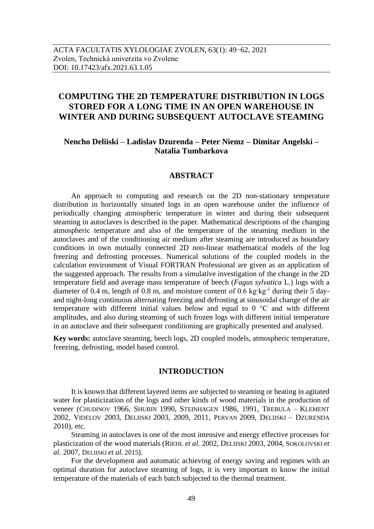# **COMPUTING THE 2D TEMPERATURE DISTRIBUTION IN LOGS STORED FOR A LONG TIME IN AN OPEN WAREHOUSE IN WINTER AND DURING SUBSEQUENT AUTOCLAVE STEAMING**

## **Nencho Deliiski – Ladislav Dzurenda – Peter Niemz – Dimitar Angelski – Natalia Tumbarkova**

## **ABSTRACT**

An approach to computing and research on the 2D non-stationary temperature distribution in horizontally situated logs in an open warehouse under the influence of periodically changing atmospheric temperature in winter and during their subsequent steaming in autoclaves is described in the paper. Mathematical descriptions of the changing atmospheric temperature and also of the temperature of the steaming medium in the autoclaves and of the conditioning air medium after steaming are introduced as boundary conditions in own mutually connected 2D non-linear mathematical models of the log freezing and defrosting processes. Numerical solutions of the coupled models in the calculation environment of Visual FORTRAN Professional are given as an application of the suggested approach. The results from a simulative investigation of the change in the 2D temperature field and average mass temperature of beech (*Fagus sylvatica* L.) logs with a diameter of 0.4 m, length of 0.8 m, and moisture content of 0.6 kg⋅kg<sup>-1</sup> during their 5 dayand night-long continuous alternating freezing and defrosting at sinusoidal change of the air temperature with different initial values below and equal to  $0^{\circ}$ C and with different amplitudes, and also during steaming of such frozen logs with different initial temperature in an autoclave and their subsequent conditioning are graphically presented and analysed.

**Key words:** autoclave steaming, beech logs, 2D coupled models, atmospheric temperature, freezing, defrosting, model based control.

## **INTRODUCTION**

It is known that different layered items are subjected to steaming or heating in agitated water for plasticization of the logs and other kinds of wood materials in the production of veneer (CHUDINOV 1966, SHUBIN 1990, STEINHAGEN 1986, 1991, TREBULA – KLEMENT 2002, VIDELOV 2003, DELIISKI 2003, 2009, 2011, PERVAN 2009, DELIISKI – DZURENDA 2010), etc.

Steaming in autoclaves is one of the most intensive and energy effective processes for plasticization of the wood materials (RIEHL *et al.* 2002, DELIISKI 2003, 2004, SOKOLOVSKI *et al.* 2007, DELIISKI *et al.* 2015).

For the development and automatic achieving of energy saving and regimes with an optimal duration for autoclave steaming of logs, it is very important to know the initial temperature of the materials of each batch subjected to the thermal treatment.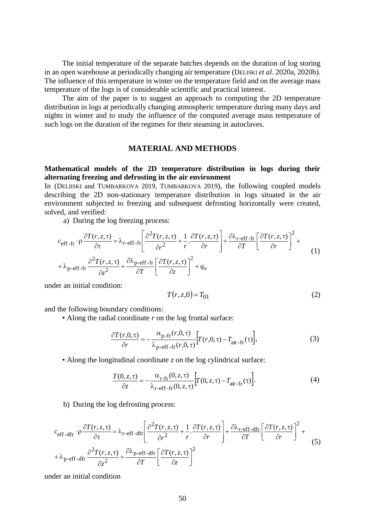The initial temperature of the separate batches depends on the duration of log storing in an open warehouse at periodically changing air temperature (DELISKI *et al*. 2020a, 2020b). The influence of this temperature in winter on the temperature field and on the average mass temperature of the logs is of considerable scientific and practical interest.

The aim of the paper is to suggest an approach to computing the 2D temperature distribution in logs at periodically changing atmospheric temperature during many days and nights in winter and to study the influence of the computed average mass temperature of such logs on the duration of the regimes for their steaming in autoclaves.

## **MATERIAL AND METHODS**

## **Mathematical models of the 2D temperature distribution in logs during their alternating freezing and defrosting in the air environment**

In (DELIISKI and TUMBARKOVA 2019, TUMBARKOVA 2019), the following coupled models describing the 2D non-stationary temperature distribution in logs situated in the air environment subjected to freezing and subsequent defrosting horizontally were created, solved, and verified:

a) During the log freezing process:  
\n
$$
c_{\text{eff-fr}} \cdot \rho \frac{\partial T(r, z, \tau)}{\partial \tau} = \lambda_{\text{r-eff-fr}} \left[ \frac{\partial^2 T(r, z, \tau)}{\partial r^2} + \frac{1}{r} \cdot \frac{\partial T(r, z, \tau)}{\partial r} \right] + \frac{\partial \lambda_{\text{r-eff-fr}}}{\partial T} \left[ \frac{\partial T(r, z, \tau)}{\partial r} \right]^2 + \lambda_{\text{p-eff-fr}} \frac{\partial^2 T(r, z, \tau)}{\partial z^2} + \frac{\partial \lambda_{\text{p-eff-fr}}}{\partial T} \left[ \frac{\partial T(r, z, \tau)}{\partial z} \right]^2 + q_{\text{v}}
$$
\n(1)

under an initial condition:

$$
T(r, z, 0) = T01
$$
\n
$$
(2)
$$

and the following boundary conditions:

• Along the radial coordinate *r* on the log frontal surface:

$$
\frac{\partial T(r,0,\tau)}{\partial r} = -\frac{\alpha_{\text{p-fr}}(r,0,\tau)}{\lambda_{\text{p-eff-fr}}(r,0,\tau)} \left[ T(r,0,\tau) - T_{\text{air-fr}}(\tau) \right],\tag{3}
$$

• Along the longitudinal coordinate *z* on the log cylindrical surface:

$$
\frac{T(0, z, \tau)}{\partial z} = -\frac{\alpha_{\text{r-fr}}(0, z, \tau)}{\lambda_{\text{r-eff-fr}}(0, z, \tau)} \Big[ T(0, z, \tau) - T_{\text{air-fr}}(\tau) \Big]. \tag{4}
$$

b) During the log defrosting process:

$$
c_{\text{eff-dfr}} \cdot \rho \frac{\partial T(r, z, \tau)}{\partial \tau} = \lambda_{\text{r-eff-dfr}} \left[ \frac{\partial^2 T(r, z, \tau)}{\partial r^2} + \frac{1}{r} \cdot \frac{\partial T(r, z, \tau)}{\partial r} \right] + \frac{\partial \lambda_{\text{r-eff-dfr}}}{\partial T} \left[ \frac{\partial T(r, z, \tau)}{\partial r} \right]^2 + \lambda_{\text{p-eff-dfr}} \frac{\partial^2 T(r, z, \tau)}{\partial z^2} + \frac{\partial \lambda_{\text{p-eff-dfr}}}{\partial T} \left[ \frac{\partial T(r, z, \tau)}{\partial z} \right]^2 \tag{5}
$$

under an initial condition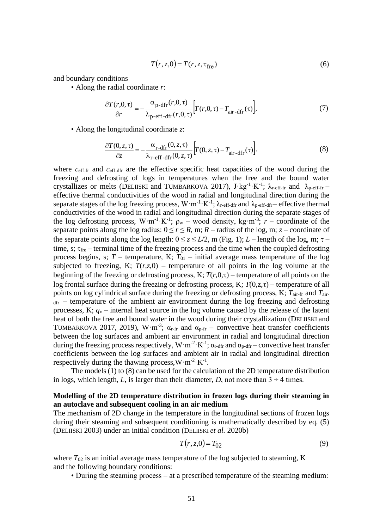$$
T(r, z, 0) = T(r, z, \tau_{\text{free}})
$$
\n<sup>(6)</sup>

and boundary conditions

• Along the radial coordinate *r*:

$$
\frac{\partial T(r,0,\tau)}{\partial r} = -\frac{\alpha_{\text{p-dfr}}(r,0,\tau)}{\lambda_{\text{p-dfr}}(r,0,\tau)} \Big[ T(r,0,\tau) - T_{\text{air-dfr}}(\tau) \Big],\tag{7}
$$

• Along the longitudinal coordinate *z*:

$$
\frac{\partial T(0, z, \tau)}{\partial z} = -\frac{\alpha_{\text{r-dfr}}(0, z, \tau)}{\lambda_{\text{r-dfr}}(0, z, \tau)} \Big[ T(0, z, \tau) - T_{\text{air-dfr}}(\tau) \Big]. \tag{8}
$$

where  $c_{\text{eff-fr}}$  and  $c_{\text{eff-dfr}}$  are the effective specific heat capacities of the wood during the freezing and defrosting of logs in temperatures when the free and the bound water crystallizes or melts (DELIISKI and TUMBARKOVA 2017),  $J \cdot kg^{-1} \cdot K^{-1}$ ;  $\lambda_{r\text{-eff-fr}}$  and  $\lambda_{p\text{-eff-fr}}$ effective thermal conductivities of the wood in radial and longitudinal direction during the separate stages of the log freezing process,  $W \cdot m^{-1} \cdot K^{-1}$ ;  $\lambda_{r\text{-eff-dfr}}$  and  $\lambda_{p\text{-eff-dfr}}$  effective thermal conductivities of the wood in radial and longitudinal direction during the separate stages of the log defrosting process,  $W \cdot m^{-1} \cdot K^{-1}$ ;  $\rho_w$  – wood density, kg $\cdot m^{-3}$ ;  $r$  – coordinate of the separate points along the log radius:  $0 \le r \le R$ , m;  $R$  – radius of the log, m;  $z$  – coordinate of the separate points along the log length:  $0 \le z \le L/2$ , m (Fig. 1); *L* – length of the log, m;  $\tau$  – time, s; fre *–* terminal time of the freezing process and the time when the coupled defrosting process begins, s;  $T$  – temperature, K;  $T_{01}$  – initial average mass temperature of the log subjected to freezing, K;  $T(r,z,0)$  – temperature of all points in the log volume at the beginning of the freezing or defrosting process, K;  $T(r, 0, \tau)$  – temperature of all points on the log frontal surface during the freezing or defrosting process, K;  $T(0, z, \tau)$  – temperature of all points on log cylindrical surface during the freezing or defrosting process, K; *T*air-fr and *T*air- $<sub>dfr</sub>$  – temperature of the ambient air environment during the log freezing and defrosting</sub> processes, K; *q*<sup>v</sup> – internal heat source in the log volume caused by the release of the latent heat of both the free and bound water in the wood during their crystallization (DELIISKI and TUMBARKOVA 2017, 2019), W·m<sup>-3</sup>;  $\alpha_{r\text{-}fr}$  and  $\alpha_{p\text{-}fr}$  – convective heat transfer coefficients between the log surfaces and ambient air environment in radial and longitudinal direction during the freezing process respectively,  $W \cdot m^{-2} \cdot K^{-1}$ ;  $\alpha_{r\text{-diff}}$  and  $\alpha_{p\text{-diff}}$  – convective heat transfer coefficients between the log surfaces and ambient air in radial and longitudinal direction respectively during the thawing process,  $W \cdot m^{-2} \cdot K^{-1}$ .

The models (1) to (8) can be used for the calculation of the 2D temperature distribution in logs, which length, *L*, is larger than their diameter, *D*, not more than  $3 \div 4$  times.

## **Modelling of the 2D temperature distribution in frozen logs during their steaming in an autoclave and subsequent cooling in an air medium**

The mechanism of 2D change in the temperature in the longitudinal sections of frozen logs during their steaming and subsequent conditioning is mathematically described by eq. (5) (DELIISKI 2003) under an initial condition (DELIISKI *et al.* 2020b)

$$
T(r, z, 0) = T_{02} \tag{9}
$$

where  $T_{02}$  is an initial average mass temperature of the log subjected to steaming, K and the following boundary conditions:

• During the steaming process – at a prescribed temperature of the steaming medium: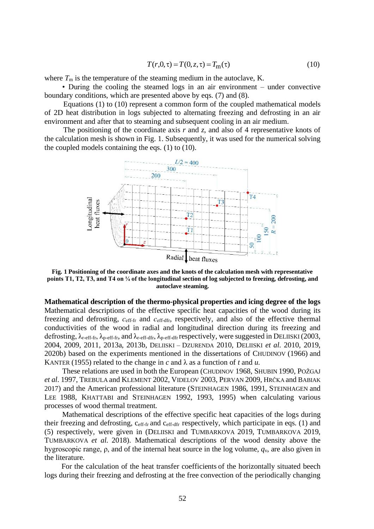$$
T(r,0,\tau) = T(0,z,\tau) = T_{\rm m}(\tau)
$$
\n(10)

where  $T<sub>m</sub>$  is the temperature of the steaming medium in the autoclave, K.

• During the cooling the steamed logs in an air environment – under convective boundary conditions, which are presented above by eqs. (7) and (8).

 Equations (1) to (10) represent a common form of the coupled mathematical models of 2D heat distribution in logs subjected to alternating freezing and defrosting in an air environment and after that to steaming and subsequent cooling in an air medium.

The positioning of the coordinate axis *r* and *z*, and also of 4 representative knots of the calculation mesh is shown in Fig. 1. Subsequently, it was used for the numerical solving the coupled models containing the eqs. (1) to (10).



**Fig. 1 Positioning of the coordinate axes and the knots of the calculation mesh with representative points T1, T2, T3, and T4 on ¼ of the longitudinal section of log subjected to freezing, defrosting, and autoclave steaming.**

**Mathematical description of the thermo-physical properties and icing degree of the logs**  Mathematical descriptions of the effective specific heat capacities of the wood during its freezing and defrosting, *с*еff-fr and *с*еff-dfr, respectively, and also of the effective thermal conductivities of the wood in radial and longitudinal direction during its freezing and defrosting,  $\lambda_{r\text{-eff-fr}}, \lambda_{p\text{-eff-fr}},$  and  $\lambda_{r\text{-eff-dfr}}$ ,  $\lambda_{p\text{-eff-dfr}}$  respectively, were suggested in DELIISKI (2003, 2004, 2009, 2011, 2013a, 2013b, DELIISKI – DZURENDA 2010, DELIISKI *et al.* 2010, 2019, 2020b) based on the experiments mentioned in the dissertations of CHUDINOV (1966) and KANTER (1955) related to the change in  $c$  and  $\lambda$  as a function of  $t$  and  $u$ .

These relations are used in both the European (CHUDINOV 1968, SHUBIN 1990, POŽGAJ *et al*. 1997, TREBULA and KLEMENT 2002, VIDELOV 2003, PERVAN 2009, HRČKA and BABIAK 2017) and the American professional literature (STEINHAGEN 1986, 1991, STEINHAGEN and LEE 1988, KHATTABI and STEINHAGEN 1992, 1993, 1995) when calculating various processes of wood thermal treatment.

Mathematical descriptions of the effective specific heat capacities of the logs during their freezing and defrosting, ceff-fr and ceff-dfr respectively, which participate in eqs. (1) and (5) respectively, were given in (DELIISKI and TUMBARKOVA 2019, TUMBARKOVA 2019, TUMBARKOVA *et al.* 2018). Mathematical descriptions of the wood density above the hygroscopic range, ρ, and of the internal heat source in the log volume, *q*v, are also given in the literature.

 For the calculation of the heat transfer coefficients of the horizontally situated beech logs during their freezing and defrosting at the free convection of the periodically changing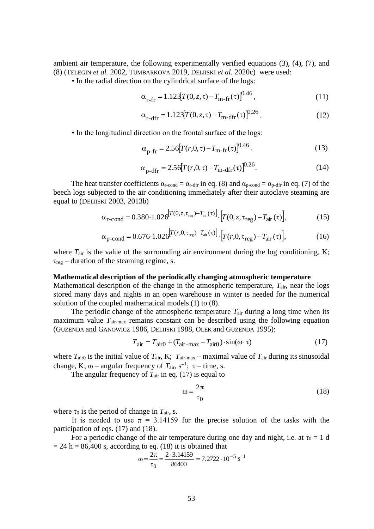ambient air temperature, the following experimentally verified equations (3), (4), (7), and (8) (TELEGIN *et al.* 2002, TUMBARKOVA 2019, DELIISKI *et al.* 2020c) were used:

• In the radial direction on the cylindrical surface of the logs:

$$
\alpha_{\text{r-fr}} = 1.123[T(0, z, \tau) - T_{\text{m-fr}}(\tau)]^{0.46},\tag{11}
$$

$$
\alpha_{\rm r-dfr} = 1.123[T(0, z, \tau) - T_{\rm m-dfr}(\tau)]^{0.26}.
$$
 (12)

• In the longitudinal direction on the frontal surface of the logs:

$$
\alpha_{p-fr} = 2.56[T(r, 0, \tau) - T_{m-fr}(\tau)]^{0.46},\tag{13}
$$

$$
\alpha_{p\text{-dfr}} = 2.56[T(r, 0, \tau) - T_{\text{m-dfr}}(\tau)]^{0.26}.
$$
 (14)

The heat transfer coefficients  $\alpha_{r\text{-cond}} = \alpha_{r\text{-diff}}$  in eq. (8) and  $\alpha_{p\text{-cond}} = \alpha_{p\text{-diff}}$  in eq. (7) of the beech logs subjected to the air conditioning immediately after their autoclave steaming are equal to (DELIISKI 2003, 2013b)

$$
\alpha_{\text{r-cond}} = 0.380 \cdot 1.026 \left[ T(0, z, \tau_{\text{reg}}) - T_{\text{air}}(\tau) \right] \cdot \left[ T(0, z, \tau_{\text{reg}}) - T_{\text{air}}(\tau) \right],\tag{15}
$$

$$
\alpha_{\text{p-cond}} = 0.676 \cdot 1.026 \left[ T(r, 0, \tau_{\text{reg}}) - T_{\text{air}}(\tau) \right] \cdot \left[ T(r, 0, \tau_{\text{reg}}) - T_{\text{air}}(\tau) \right],\tag{16}
$$

where  $T_{\text{air}}$  is the value of the surrounding air environment during the log conditioning, K;  $\tau_{\text{reg}}$  – duration of the steaming regime, s.

#### **Mathematical description of the periodically changing atmospheric temperature**

Mathematical description of the change in the atmospheric temperature,  $T_{air}$ , near the logs stored many days and nights in an open warehouse in winter is needed for the numerical solution of the coupled mathematical models (1) to (8).

The periodic change of the atmospheric temperature  $T_{\text{air}}$  during a long time when its maximum value *T*air-max remains constant can be described using the following equation (GUZENDA and GANOWICZ 1986, DELIISKI 1988, OLEK and GUZENDA 1995):

$$
T_{\text{air}} = T_{\text{air}0} + (T_{\text{air-max}} - T_{\text{air}0}) \cdot \sin(\omega \cdot \tau) \tag{17}
$$

where  $T_{\text{air0}}$  is the initial value of  $T_{\text{air}}$ , K;  $T_{\text{air-max}}$  – maximal value of  $T_{\text{air}}$  during its sinusoidal change, K;  $\omega$  – angular frequency of  $T_{\text{air}}$ ,  $s^{-1}$ ;  $\tau$  – time, s.

The angular frequency of  $T_{\text{air}}$  in eq. (17) is equal to

$$
\omega = \frac{2\pi}{\tau_0} \tag{18}
$$

where  $\tau_0$  is the period of change in  $T_{\text{air}}$ , s.

It is needed to use  $\pi = 3.14159$  for the precise solution of the tasks with the participation of eqs. (17) and (18).

For a periodic change of the air temperature during one day and night, i.e. at  $\tau_0 = 1$  d  $= 24$  h  $= 86,400$  s, according to eq. (18) it is obtained that

$$
\omega = \frac{2\pi}{\tau_0} = \frac{2 \cdot 3.14159}{86400} = 7.2722 \cdot 10^{-5} \text{ s}^{-1}
$$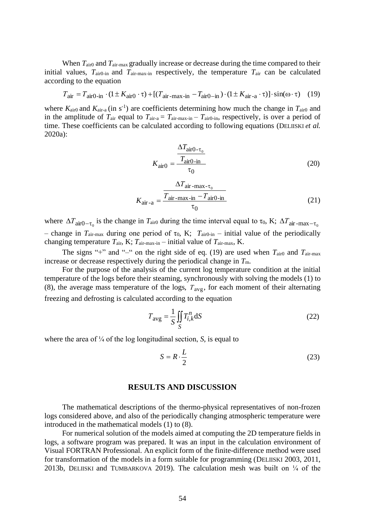When  $T_{\text{air0}}$  and  $T_{\text{air-max}}$  gradually increase or decrease during the time compared to their initial values,  $T_{\text{air0-in}}$  and  $T_{\text{air-max-in}}$  respectively, the temperature  $T_{\text{air}}$  can be calculated according to the equation

$$
T_{\text{air}} = T_{\text{air0-in}} \cdot (1 \pm K_{\text{air0}} \cdot \tau) + [(T_{\text{air-max-in}} - T_{\text{air0-in}}) \cdot (1 \pm K_{\text{air-a}} \cdot \tau)] \cdot \sin(\omega \cdot \tau) \tag{19}
$$

where  $K_{\text{air0}}$  and  $K_{\text{air-a}}$  (in s<sup>-1</sup>) are coefficients determining how much the change in  $T_{\text{air0}}$  and in the amplitude of  $T_{\text{air}}$  equal to  $T_{\text{air-a}} = T_{\text{air-max-in}} - T_{\text{air0-in}}$ , respectively, is over a period of time. These coefficients can be calculated according to following equations (DELIISKI *et al.* 2020a):

$$
K_{\text{air}0} = \frac{\frac{\Delta T_{\text{air}0 - \tau_0}}{T_{\text{air}0 - \text{in}}}}{\tau_0}
$$
 (20)

$$
K_{\text{air}-\text{a}} = \frac{\frac{\Delta T_{\text{air}-\text{max}-\tau_0}}{T_{\text{air}-\text{max}-\text{in}} - T_{\text{air0}-\text{in}}}}{\tau_0}
$$
(21)

where  $\Delta T_{\text{air0}-\tau_0}$  is the change in  $T_{\text{air0}}$  during the time interval equal to  $\tau_0$ , K;  $\Delta T_{\text{air-max}-\tau_0}$ – change in  $T_{\text{air-max}}$  during one period of  $\tau_0$ , K;  $T_{\text{air0-in}}$  – initial value of the periodically changing temperature *T*air, K; *T*air-max-in – initial value of *T*air-max, K.

The signs "+" and "-" on the right side of eq. (19) are used when  $T_{\text{air}}$  and  $T_{\text{air-max}}$ increase or decrease respectively during the periodical change in *T*m.

For the purpose of the analysis of the current log temperature condition at the initial temperature of the logs before their steaming, synchronously with solving the models (1) to (8), the average mass temperature of the logs,  $T_{avg}$ , for each moment of their alternating freezing and defrosting is calculated according to the equation

$$
T_{\text{avg}} = \frac{1}{S} \iint_{S} T_{i,k}^{n} \text{d}S
$$
 (22)

where the area of ¼ of the log longitudinal section, *S*, is equal to

$$
S = R \cdot \frac{L}{2} \tag{23}
$$

#### **RESULTS AND DISCUSSION**

The mathematical descriptions of the thermo-physical representatives of non-frozen logs considered above, and also of the periodically changing atmospheric temperature were introduced in the mathematical models (1) to (8).

For numerical solution of the models aimed at computing the 2D temperature fields in logs, a software program was prepared. It was an input in the calculation environment of Visual FORTRAN Professional. An explicit form of the finite-difference method were used for transformation of the models in a form suitable for programming (DELIISKI 2003, 2011, 2013b, DELIISKI and TUMBARKOVA 2019). The calculation mesh was built on  $\frac{1}{4}$  of the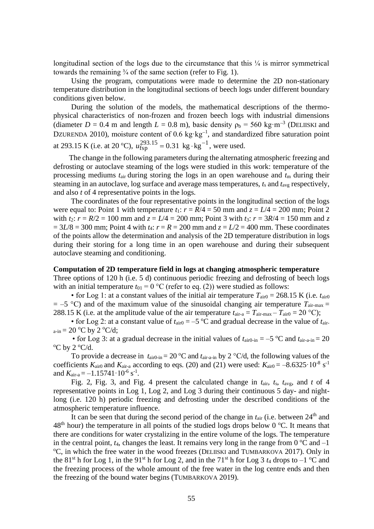longitudinal section of the logs due to the circumstance that this  $\frac{1}{4}$  is mirror symmetrical towards the remaining  $\frac{3}{4}$  of the same section (refer to Fig. 1).

Using the program, computations were made to determine the 2D non-stationary temperature distribution in the longitudinal sections of beech logs under different boundary conditions given below.

During the solution of the models, the mathematical descriptions of the thermophysical characteristics of non-frozen and frozen beech logs with industrial dimensions (diameter  $D = 0.4$  m and length  $L = 0.8$  m), basic density  $\rho_b = 560 \text{ kg} \cdot \text{m}^{-3}$  (DELIISKI and DZURENDA 2010), moisture content of 0.6 kg⋅kg<sup>-1</sup>, and standardized fibre saturation point at 293.15 K (i.e. at 20 °C),  $u_{\text{fsp}}^{293.15} = 0.31 \text{ kg} \cdot \text{kg}^{-1}$ , were used.

The change in the following parameters during the alternating atmospheric freezing and defrosting or autoclave steaming of the logs were studied in this work: temperature of the processing mediums *t*air during storing the logs in an open warehouse and *t*<sup>m</sup> during their steaming in an autoclave, log surface and average mass temperatures, *t*<sup>s</sup> and *t*avg respectively, and also *t* of 4 representative points in the logs.

The coordinates of the four representative points in the longitudinal section of the logs were equal to: Point 1 with temperature  $t_1$ :  $r = R/4 = 50$  mm and  $z = L/4 = 200$  mm; Point 2 with  $t_2$ :  $r = R/2 = 100$  mm and  $z = L/4 = 200$  mm; Point 3 with  $t_3$ :  $r = 3R/4 = 150$  mm and z  $= 3L/8 = 300$  mm; Point 4 with  $t_4$ :  $r = R = 200$  mm and  $z = L/2 = 400$  mm. These coordinates of the points allow the determination and analysis of the 2D temperature distribution in logs during their storing for a long time in an open warehouse and during their subsequent autoclave steaming and conditioning.

#### **Computation of 2D temperature field in logs at changing atmospheric temperature**

Three options of 120 h (i.e. 5 d) continuous periodic freezing and defrosting of beech logs with an initial temperature  $t_{01} = 0$  °C (refer to eq. (2)) were studied as follows:

• for Log 1: at a constant values of the initial air temperature  $T_{\text{air0}} = 268.15 \text{ K}$  (i.e.  $t_{\text{air0}}$ )  $= -5$  °C) and of the maximum value of the sinusoidal changing air temperature  $T_{\text{air-max}} =$ 288.15 K (i.e. at the amplitude value of the air temperature  $t_{\text{air-a}} = T_{\text{air-max}} - T_{\text{air0}} = 20 \text{ °C}$ );

• for Log 2: at a constant value of  $t_{\text{air0}} = -5$  °C and gradual decrease in the value of  $t_{\text{air}}$  $a$ -in = 20 °C by 2 °C/d;

• for Log 3: at a gradual decrease in the initial values of  $t_{\text{air0-in}} = -5$  °C and  $t_{\text{air-a-in}} = 20$  $\rm ^{o}C$  by 2  $\rm ^{o}C/d.$ 

To provide a decrease in  $t_{\text{air0-in}} = 20 \degree C$  and  $t_{\text{air-a-in}}$  by 2  $\degree C/d$ , the following values of the coefficients  $K_{\text{air0}}$  and  $K_{\text{air-a}}$  according to eqs. (20) and (21) were used:  $K_{\text{air0}} = -8.6325 \cdot 10^{-8} \text{ s}^{-1}$ and  $K_{\text{air-a}} = -1.15741 \cdot 10^{-6} \text{ s}^{-1}$ .

Fig. 2, Fig. 3, and Fig. 4 present the calculated change in *t*air, *t*s, *t*avg, and *t* of 4 representative points in Log 1, Log 2, and Log 3 during their continuous 5 day- and nightlong (i.e. 120 h) periodic freezing and defrosting under the described conditions of the atmospheric temperature influence.

It can be seen that during the second period of the change in  $t_{\text{air}}$  (i.e. between  $24^{\text{th}}$  and  $48<sup>th</sup>$  hour) the temperature in all points of the studied logs drops below 0 °C. It means that there are conditions for water crystalizing in the entire volume of the logs. The temperature in the central point,  $t_4$ , changes the least. It remains very long in the range from  $0^{\circ}$ C and  $-1$  $\rm{O}^{\circ}$ C, in which the free water in the wood freezes (DELIISKI and TUMBARKOVA 2017). Only in the 81<sup>st</sup> h for Log 1, in the 91<sup>st</sup> h for Log 2, and in the 71<sup>st</sup> h for Log 3  $t_4$  drops to  $-1$  <sup>o</sup>C and the freezing process of the whole amount of the free water in the log centre ends and then the freezing of the bound water begins (TUMBARKOVA 2019).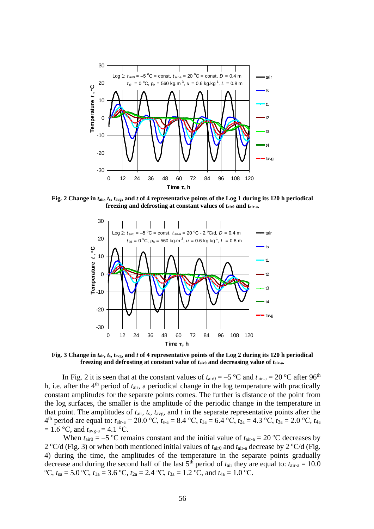

**Fig. 2 Change in** *t***air,** *t***s,** *t***avg, and** *t* **of 4 representative points of the Log 1 during its 120 h periodical freezing and defrosting at constant values of**  $t_{\text{air0}}$  **and**  $t_{\text{air-a}}$ **.** 



**Fig. 3 Change in** *t***air,** *t***s,** *t***avg, and** *t* **of 4 representative points of the Log 2 during its 120 h periodical** freezing and defrosting at constant value of  $t_{\text{air0}}$  and decreasing value of  $t_{\text{air-a}}$ .

In Fig. 2 it is seen that at the constant values of  $t_{\text{air0}} = -5$  °C and  $t_{\text{air-a}} = 20$  °C after 96<sup>th</sup> h, i.e. after the 4<sup>th</sup> period of  $t_{\text{air}}$ , a periodical change in the log temperature with practically constant amplitudes for the separate points comes. The further is distance of the point from the log surfaces, the smaller is the amplitude of the periodic change in the temperature in that point. The amplitudes of *t*air, *t*s*, t*avg, and *t* in the separate representative points after the 4<sup>th</sup> period are equal to:  $t_{\text{air-a}} = 20.0 \text{ °C}, t_{\text{s-a}} = 8.4 \text{ °C}, t_{1a} = 6.4 \text{ °C}, t_{2a} = 4.3 \text{ °C}, t_{3a} = 2.0 \text{ °C}, t_{4a}$  $= 1.6$  °C, and  $t_{\text{avg-a}} = 4.1$  °C.

When  $t_{\text{air0}} = -5$  °C remains constant and the initial value of  $t_{\text{air-a}} = 20$  °C decreases by 2 <sup>o</sup>C/d (Fig. 3) or when both mentioned initial values of  $t_{\text{air0}}$  and  $t_{\text{air-a}}$  decrease by 2 <sup>o</sup>C/d (Fig. 4) during the time, the amplitudes of the temperature in the separate points gradually decrease and during the second half of the last  $5<sup>th</sup>$  period of  $t<sub>air</sub>$  they are equal to:  $t<sub>air-a</sub> = 10.0$ <sup>o</sup>C,  $t_{sa} = 5.0$  <sup>o</sup>C,  $t_{1a} = 3.6$  <sup>o</sup>C,  $t_{2a} = 2.4$  <sup>o</sup>C,  $t_{3a} = 1.2$  <sup>o</sup>C, and  $t_{4a} = 1.0$  <sup>o</sup>C.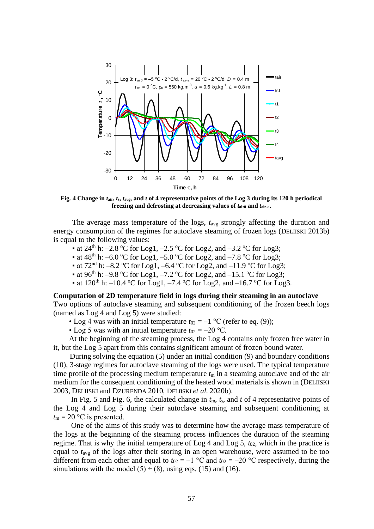

**Fig. 4 Change in** *t***air,** *t***s,** *t***avg, and** *t* **of 4 representative points of the Log 3 during its 120 h periodical** freezing and defrosting at decreasing values of  $t_{\text{air0}}$  and  $t_{\text{air-a}}$ .

The average mass temperature of the logs,  $t_{avg}$  strongly affecting the duration and energy consumption of the regimes for autoclave steaming of frozen logs (DELIISKI 2013b) is equal to the following values:

- at 24<sup>th</sup> h:  $-2.8$  °C for Log1,  $-2.5$  °C for Log2, and  $-3.2$  °C for Log3;
- at 48<sup>th</sup> h: –6.0 °C for Log1, –5.0 °C for Log2, and –7.8 °C for Log3;
- at  $72<sup>nd</sup>$  h:  $-8.2$  °C for Log1,  $-6.4$  °C for Log2, and  $-11.9$  °C for Log3;
- at 96<sup>th</sup> h:  $-9.8$  °C for Log1,  $-7.2$  °C for Log2, and  $-15.1$  °C for Log3;
- at  $120^{th}$  h:  $-10.4$  °C for Log1,  $-7.4$  °C for Log2, and  $-16.7$  °C for Log3.

### **Computation of 2D temperature field in logs during their steaming in an autoclave**

Two options of autoclave steaming and subsequent conditioning of the frozen beech logs (named as Log 4 and Log 5) were studied:

• Log 4 was with an initial temperature  $t_{02} = -1$  °C (refer to eq. (9));

• Log 5 was with an initial temperature  $t_{02} = -20$  °C.

At the beginning of the steaming process, the Log 4 contains only frozen free water in it, but the Log 5 apart from this contains significant amount of frozen bound water.

 During solving the equation (5) under an initial condition (9) and boundary conditions (10), 3-stage regimes for autoclave steaming of the logs were used. The typical temperature time profile of the processing medium temperature  $t<sub>m</sub>$  in a steaming autoclave and of the air medium for the consequent conditioning of the heated wood materials is shown in (DELIISKI 2003, DELIISKI and DZURENDA 2010, DELIISKI *et al*. 2020b).

In Fig. 5 and Fig. 6, the calculated change in  $t<sub>m</sub>$ ,  $t<sub>s</sub>$ , and  $t$  of 4 representative points of the Log 4 and Log 5 during their autoclave steaming and subsequent conditioning at  $t_{\rm m} = 20$  °C is presented.

One of the aims of this study was to determine how the average mass temperature of the logs at the beginning of the steaming process influences the duration of the steaming regime. That is why the initial temperature of  $\text{Log } 4$  and  $\text{Log } 5$ ,  $t_{02}$ , which in the practice is equal to *t*avg of the logs after their storing in an open warehouse, were assumed to be too different from each other and equal to  $t_{02} = -1$  °C and  $t_{02} = -20$  °C respectively, during the simulations with the model  $(5) \div (8)$ , using eqs. (15) and (16).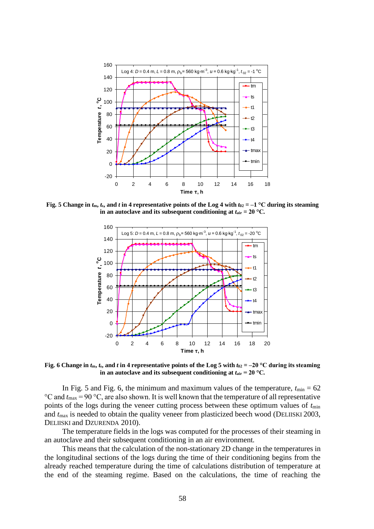

**Fig. 5 Change in**  $t_m$ **,**  $t_s$ **, and**  $t$  **in 4 representative points of the Log 4 with**  $t_{02} = -1$  **°C during its steaming in an autoclave and its subsequent conditioning at**  $t_{\text{air}} = 20 \degree C$ **.** 



**Fig. 6** Change in  $t_m$ ,  $t_s$ , and  $t$  in 4 representative points of the Log 5 with  $t_{02} = -20$  °C during its steaming **in an autoclave and its subsequent conditioning at**  $t_{\text{air}} = 20 \degree C$ **.** 

In Fig. 5 and Fig. 6, the minimum and maximum values of the temperature,  $t_{\text{min}} = 62$  $\rm{°C}$  and  $t_{\rm max}$  = 90  $\rm{°C}$ , are also shown. It is well known that the temperature of all representative points of the logs during the veneer cutting process between these optimum values of *t*min and  $t_{\text{max}}$  is needed to obtain the quality veneer from plasticized beech wood (DELIISKI 2003, DELIISKI and DZURENDA 2010).

The temperature fields in the logs was computed for the processes of their steaming in an autoclave and their subsequent conditioning in an air environment.

This means that the calculation of the non-stationary 2D change in the temperatures in the longitudinal sections of the logs during the time of their conditioning begins from the already reached temperature during the time of calculations distribution of temperature at the end of the steaming regime. Based on the calculations, the time of reaching the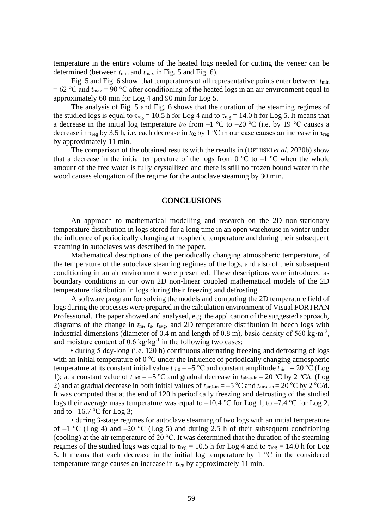temperature in the entire volume of the heated logs needed for cutting the veneer can be determined (between *t*min and *t*max in Fig. 5 and Fig. 6).

Fig. 5 and Fig. 6 show that temperatures of all representative points enter between  $t_{\text{min}}$  $= 62 \degree C$  and  $t_{\text{max}} = 90 \degree C$  after conditioning of the heated logs in an air environment equal to approximately 60 min for Log 4 and 90 min for Log 5.

The analysis of Fig. 5 and Fig. 6 shows that the duration of the steaming regimes of the studied logs is equal to  $\tau_{reg} = 10.5$  h for Log 4 and to  $\tau_{reg} = 14.0$  h for Log 5. It means that a decrease in the initial log temperature  $t_{02}$  from  $-1$  °C to  $-20$  °C (i.e. by 19 °C causes a decrease in  $\tau_{reg}$  by 3.5 h, i.e. each decrease in  $t_{02}$  by 1 °C in our case causes an increase in  $\tau_{reg}$ by approximately 11 min.

The comparison of the obtained results with the results in (DELIISKI *et al.* 2020b) show that a decrease in the initial temperature of the logs from  $0^{\circ}$ C to  $-1^{\circ}$ C when the whole amount of the free water is fully crystallized and there is still no frozen bound water in the wood causes elongation of the regime for the autoclave steaming by 30 min.

#### **CONCLUSIONS**

An approach to mathematical modelling and research on the 2D non-stationary temperature distribution in logs stored for a long time in an open warehouse in winter under the influence of periodically changing atmospheric temperature and during their subsequent steaming in autoclaves was described in the paper.

Mathematical descriptions of the periodically changing atmospheric temperature, of the temperature of the autoclave steaming regimes of the logs, and also of their subsequent conditioning in an air environment were presented. These descriptions were introduced as boundary conditions in our own 2D non-linear coupled mathematical models of the 2D temperature distribution in logs during their freezing and defrosting.

A software program for solving the models and computing the 2D temperature field of logs during the processes were prepared in the calculation environment of Visual FORTRAN Professional. The paper showed and analysed, e.g. the application of the suggested approach, diagrams of the change in *t*m, *t*s, *t*avg, and 2D temperature distribution in beech logs with industrial dimensions (diameter of 0.4 m and length of 0.8 m), basic density of 560 kg·m<sup>-3</sup>, and moisture content of 0.6 kg $\cdot$ kg<sup>-1</sup> in the following two cases:

• during 5 day-long (i.e. 120 h) continuous alternating freezing and defrosting of logs with an initial temperature of  $0^{\circ}$ C under the influence of periodically changing atmospheric temperature at its constant initial value  $t_{\text{air0}} = -5 \degree C$  and constant amplitude  $t_{\text{air-a}} = 20 \degree C$  (Log 1); at a constant value of  $t_{\text{air0}} = -5$  °C and gradual decrease in  $t_{\text{air-a-in}} = 20$  °C by 2 °C/d (Log 2) and at gradual decrease in both initial values of  $t_{\text{air0-in}} = -5 \degree C$  and  $t_{\text{air-a-in}} = 20 \degree C$  by 2  $\degree C/d$ . It was computed that at the end of 120 h periodically freezing and defrosting of the studied logs their average mass temperature was equal to  $-10.4 \degree C$  for Log 1, to  $-7.4 \degree C$  for Log 2, and to  $-16.7$  °C for Log 3;

• during 3-stage regimes for autoclave steaming of two logs with an initial temperature of  $-1$  °C (Log 4) and  $-20$  °C (Log 5) and during 2.5 h of their subsequent conditioning (cooling) at the air temperature of 20 °C. It was determined that the duration of the steaming regimes of the studied logs was equal to  $\tau_{reg} = 10.5$  h for Log 4 and to  $\tau_{reg} = 14.0$  h for Log 5. It means that each decrease in the initial log temperature by  $1 \text{ °C}$  in the considered temperature range causes an increase in  $\tau_{\text{reg}}$  by approximately 11 min.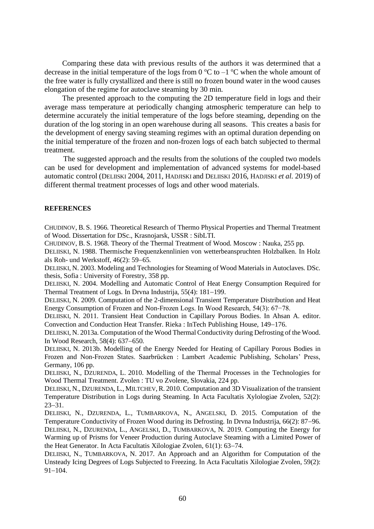Comparing these data with previous results of the authors it was determined that a decrease in the initial temperature of the logs from 0  $^{\circ}$ C to  $-1$   $^{\circ}$ C when the whole amount of the free water is fully crystallized and there is still no frozen bound water in the wood causes elongation of the regime for autoclave steaming by 30 min.

The presented approach to the computing the 2D temperature field in logs and their average mass temperature at periodically changing atmospheric temperature can help to determine accurately the initial temperature of the logs before steaming, depending on the duration of the log storing in an open warehouse during all seasons. This creates a basis for the development of energy saving steaming regimes with an optimal duration depending on the initial temperature of the frozen and non-frozen logs of each batch subjected to thermal treatment.

The suggested approach and the results from the solutions of the coupled two models can be used for development and implementation of advanced systems for model-based automatic control (DELIISKI 2004, 2011, HADJISKI and DELIISKI 2016, HADJISKI *et al.* 2019) of different thermal treatment processes of logs and other wood materials.

#### **REFERENCES**

CHUDINOV, B. S. 1966. Theoretical Research of Thermo Physical Properties and Thermal Treatment of Wood. Dissertation for DSc., Krasnojarsk, USSR : SibLTI.

CHUDINOV, B. S. 1968. Theory of the Thermal Treatment of Wood. Moscow : Nauka, 255 pp.

DELIISKI, N. 1988. Thermische Frequenzkennlinien von wetterbeanspruchten Holzbalken. In Holz als Roh- und Werkstoff, 46(2): 59−65.

DELIISKI, N. 2003. Modeling and Technologies for Steaming of Wood Materials in Autoclaves. DSc. thesis, Sofia : University of Forestry, 358 pp.

DELIISKI, N. 2004. Modelling and Automatic Control of Heat Energy Consumption Required for Thermal Treatment of Logs. In Drvna Industrija, 55(4): 181−199.

DELIISKI, N. 2009. Computation of the 2-dimensional Transient Temperature Distribution and Heat Energy Consumption of Frozen and Non-Frozen Logs. In Wood Research, 54(3): 67−78.

DELIISKI, N. 2011. Transient Heat Conduction in Capillary Porous Bodies. In Ahsan A. editor. Convection and Conduction Heat Transfer. Rieka : InTech Publishing House, 149−176.

DELIISKI, N. 2013a. Computation of the Wood Thermal Conductivity during Defrosting of the Wood. In Wood Research, 58(4): 637−650.

DELIISKI, N. 2013b. Modelling of the Energy Needed for Heating of Capillary Porous Bodies in Frozen and Non-Frozen States. Saarbrücken : Lambert Academic Publishing, Scholars' Press, Germany, 106 pp.

DELIISKI, N., DZURENDA, L. 2010. Modelling of the Thermal Processes in the Technologies for Wood Thermal Treatment. Zvolen : TU vo Zvolene, Slovakia, 224 pp.

DELIISKI, N., DZURENDA, L., MILTCHEV, R. 2010. Computation and  $\overline{3}D$  Visualization of the transient Temperature Distribution in Logs during Steaming. In Acta Facultatis Xylologiae Zvolen, 52(2): 23−31.

DELIISKI, N., DZURENDA, L., TUMBARKOVA, N., ANGELSKI, D. 2015. Computation of the Temperature Conductivity of Frozen Wood during its Defrosting. In Drvna Industrija, 66(2): 87−96. DELIISKI, N., DZURENDA, L., ANGELSKI, D., TUMBARKOVA, N. 2019. Computing the Energy for Warming up of Prisms for Veneer Production during Autoclave Steaming with a Limited Power of the Heat Generator. In Acta Facultatis Xilologiae Zvolen, 61(1): 63−74.

DELIISKI, N., TUMBARKOVA, N. 2017. An Approach and an Algorithm for Computation of the Unsteady Icing Degrees of Logs Subjected to Freezing. In Acta Facultatis Xilologiae Zvolen, 59(2): 91−104.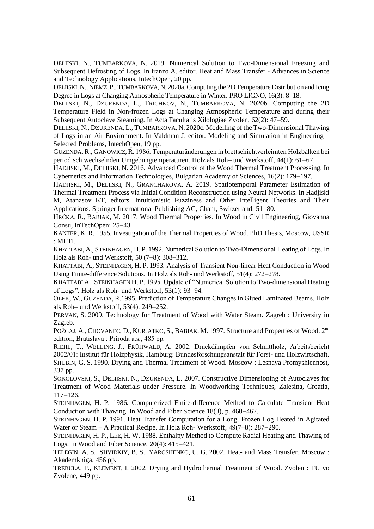DELIISKI, N., TUMBARKOVA, N. 2019. Numerical Solution to Two-Dimensional Freezing and Subsequent Defrosting of Logs. In Iranzo A. editor. Heat and Mass Transfer - Advances in Science and Technology Applications, IntechOpen, 20 pp.

DELIISKI, N., NIEMZ, P., TUMBARKOVA, N. 2020a. Computing the 2D Temperature Distribution and Icing Degree in Logs at Changing Atmospheric Temperature in Winter. PRO LIGNO, 16(3): 8−18.

DELIISKI, N., DZURENDA, L., TRICHKOV, N., TUMBARKOVA, N. 2020b. Computing the 2D Temperature Field in Non-frozen Logs at Changing Atmospheric Temperature and during their Subsequent Autoclave Steaming. In Acta Facultatis Xilologiae Zvolen, 62(2): 47−59.

DELIISKI, N., DZURENDA, L., TUMBARKOVA, N. 2020c. Modelling of the Two-Dimensional Thawing of Logs in an Air Environment. In Valdman J. editor. Modeling and Simulation in Engineering – Selected Problems, IntechOpen, 19 pp.

GUZENDA,R., GANOWICZ,R. 1986. Temperaturänderungen in brettschichtverleimten Holzbalken bei periodisch wechselnden Umgebungtemperaturen. Holz als Roh– und Werkstoff, 44(1): 61−67.

HADJISKI, M., DELIISKI, N. 2016. Advanced Control of the Wood Thermal Treatment Processing. In Cybernetics and Information Technologies, Bulgarian Academy of Sciences, 16(2): 179−197.

HADJISKI, M., DELIISKI, N., GRANCHAROVA, A. 2019. Spatiotemporal Parameter Estimation of Thermal Treatment Process via Initial Condition Reconstruction using Neural Networks. In Hadjiski M, Atanasov KT, editors. Intuitionistic Fuzziness and Other Intelligent Theories and Their Applications. Springer International Publishing AG, Cham, Switzerland: 51−80.

HRČKA, R., BABIAK, M. 2017. Wood Thermal Properties. In Wood in Civil Engineering, Giovanna Consu, InTechOpen: 25−43.

KANTER, K. R. 1955. Investigation of the Thermal Properties of Wood. PhD Thesis, Moscow, USSR : MLTI.

KHATTABI, A., STEINHAGEN, H. P. 1992. Numerical Solution to Two-Dimensional Heating of Logs. In Holz als Roh- und Werkstoff, 50 (7−8): 308−312.

KHATTABI, A., STEINHAGEN, H. P. 1993. Analysis of Transient Non-linear Heat Conduction in Wood Using Finite-difference Solutions. In Holz als Roh- und Werkstoff, 51(4): 272−278.

KHATTABI A., STEINHAGEN H. P. 1995. Update of "Numerical Solution to Two-dimensional Heating of Logs". Holz als Roh- und Werkstoff, 53(1): 93−94.

OLEK, W., GUZENDA, R.1995. Prediction of Temperature Changes in Glued Laminated Beams. Holz als Roh– und Werkstoff, 53(4): 249−252.

PERVAN, S. 2009. Technology for Treatment of Wood with Water Steam. Zagreb : University in Zagreb.

POŽGAJ, A., CHOVANEC, D., KURJATKO, S., BABIAK, M. 1997. Structure and Properties of Wood. 2<sup>nd</sup> edition, Bratislava : Príroda a.s., 485 pp.

RIEHL, T., WELLING, J., FRÜHWALD, A. 2002. Druckdämpfen von Schnittholz, Arbeitsbericht 2002/01: Institut für Holzphysik, Hamburg: Bundesforschungsanstalt für Forst- und Holzwirtschaft. SHUBIN, G. S. 1990. Drying and Thermal Treatment of Wood. Moscow : Lesnaya Promyshlennost, 337 pp.

SOKOLOVSKI, S., DELIISKI, N., DZURENDA, L. 2007. Constructive Dimensioning of Autoclaves for Treatment of Wood Materials under Pressure. In Woodworking Techniques, Zalesina, Croatia, 117−126.

STEINHAGEN, H. P. 1986. Computerized Finite-difference Method to Calculate Transient Heat Conduction with Thawing. In Wood and Fiber Science 18(3), p. 460−467.

STEINHAGEN, H. P. 1991. Heat Transfer Computation for a Long, Frozen Log Heated in Agitated Water or Steam – A Practical Recipe. In Holz Roh- Werkstoff, 49(7–8): 287−290.

STEINHAGEN, H. P., LEE, H. W. 1988. Enthalpy Method to Compute Radial Heating and Thawing of Logs. In Wood and Fiber Science, 20(4): 415−421.

TELEGIN, A. S., SHVIDKIY, B. S., YAROSHENKO, U. G. 2002. Heat- and Mass Transfer. Moscow : Akademkniga, 456 pp.

TREBULA, P., KLEMENT, I. 2002. Drying and Hydrothermal Treatment of Wood. Zvolen : TU vo Zvolene, 449 pp.